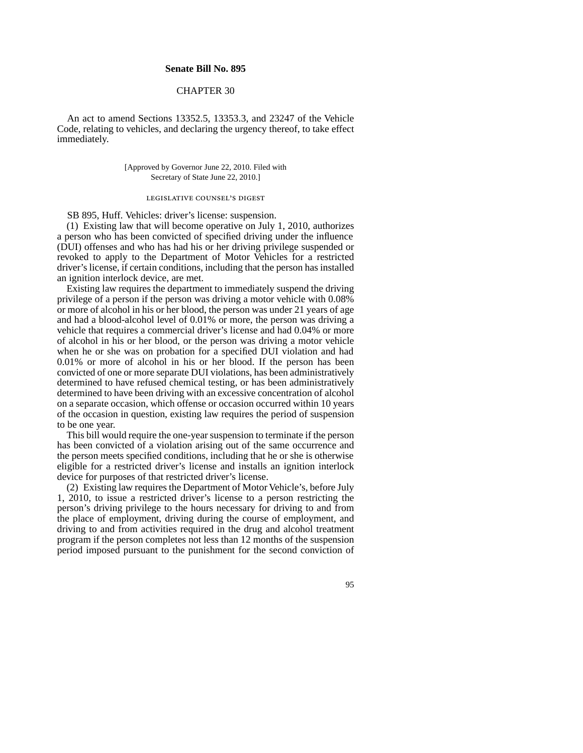## **Senate Bill No. 895**

# CHAPTER 30

An act to amend Sections 13352.5, 13353.3, and 23247 of the Vehicle Code, relating to vehicles, and declaring the urgency thereof, to take effect immediately.

## [Approved by Governor June 22, 2010. Filed with Secretary of State June 22, 2010.]

#### legislative counsel's digest

SB 895, Huff. Vehicles: driver's license: suspension.

(1) Existing law that will become operative on July 1, 2010, authorizes a person who has been convicted of specified driving under the influence (DUI) offenses and who has had his or her driving privilege suspended or revoked to apply to the Department of Motor Vehicles for a restricted driver's license, if certain conditions, including that the person has installed an ignition interlock device, are met.

Existing law requires the department to immediately suspend the driving privilege of a person if the person was driving a motor vehicle with 0.08% or more of alcohol in his or her blood, the person was under 21 years of age and had a blood-alcohol level of 0.01% or more, the person was driving a vehicle that requires a commercial driver's license and had 0.04% or more of alcohol in his or her blood, or the person was driving a motor vehicle when he or she was on probation for a specified DUI violation and had 0.01% or more of alcohol in his or her blood. If the person has been convicted of one or more separate DUI violations, has been administratively determined to have refused chemical testing, or has been administratively determined to have been driving with an excessive concentration of alcohol on a separate occasion, which offense or occasion occurred within 10 years of the occasion in question, existing law requires the period of suspension to be one year.

This bill would require the one-year suspension to terminate if the person has been convicted of a violation arising out of the same occurrence and the person meets specified conditions, including that he or she is otherwise eligible for a restricted driver's license and installs an ignition interlock device for purposes of that restricted driver's license.

(2) Existing law requires the Department of Motor Vehicle's, before July 1, 2010, to issue a restricted driver's license to a person restricting the person's driving privilege to the hours necessary for driving to and from the place of employment, driving during the course of employment, and driving to and from activities required in the drug and alcohol treatment program if the person completes not less than 12 months of the suspension period imposed pursuant to the punishment for the second conviction of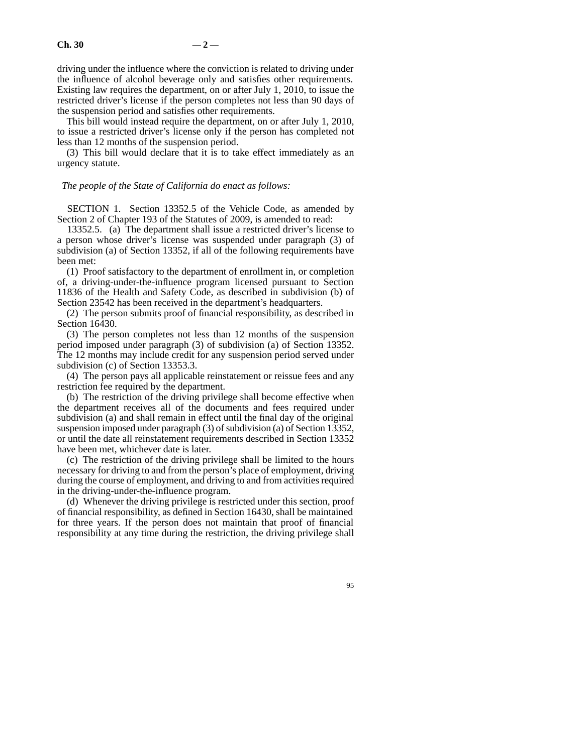driving under the influence where the conviction is related to driving under the influence of alcohol beverage only and satisfies other requirements. Existing law requires the department, on or after July 1, 2010, to issue the restricted driver's license if the person completes not less than 90 days of the suspension period and satisfies other requirements.

This bill would instead require the department, on or after July 1, 2010, to issue a restricted driver's license only if the person has completed not less than 12 months of the suspension period.

(3) This bill would declare that it is to take effect immediately as an urgency statute.

#### *The people of the State of California do enact as follows:*

SECTION 1. Section 13352.5 of the Vehicle Code, as amended by Section 2 of Chapter 193 of the Statutes of 2009, is amended to read:

13352.5. (a) The department shall issue a restricted driver's license to a person whose driver's license was suspended under paragraph (3) of subdivision (a) of Section 13352, if all of the following requirements have been met:

(1) Proof satisfactory to the department of enrollment in, or completion of, a driving-under-the-influence program licensed pursuant to Section 11836 of the Health and Safety Code, as described in subdivision (b) of Section 23542 has been received in the department's headquarters.

(2) The person submits proof of financial responsibility, as described in Section 16430.

(3) The person completes not less than 12 months of the suspension period imposed under paragraph (3) of subdivision (a) of Section 13352. The 12 months may include credit for any suspension period served under subdivision (c) of Section 13353.3.

(4) The person pays all applicable reinstatement or reissue fees and any restriction fee required by the department.

(b) The restriction of the driving privilege shall become effective when the department receives all of the documents and fees required under subdivision (a) and shall remain in effect until the final day of the original suspension imposed under paragraph (3) of subdivision (a) of Section 13352, or until the date all reinstatement requirements described in Section 13352 have been met, whichever date is later.

(c) The restriction of the driving privilege shall be limited to the hours necessary for driving to and from the person's place of employment, driving during the course of employment, and driving to and from activities required in the driving-under-the-influence program.

(d) Whenever the driving privilege is restricted under this section, proof of financial responsibility, as defined in Section 16430, shall be maintained for three years. If the person does not maintain that proof of financial responsibility at any time during the restriction, the driving privilege shall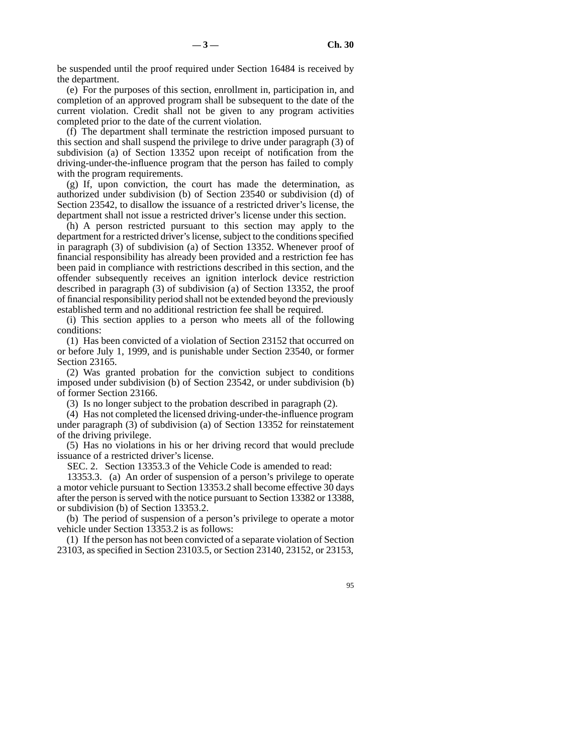be suspended until the proof required under Section 16484 is received by the department.

(e) For the purposes of this section, enrollment in, participation in, and completion of an approved program shall be subsequent to the date of the current violation. Credit shall not be given to any program activities completed prior to the date of the current violation.

(f) The department shall terminate the restriction imposed pursuant to this section and shall suspend the privilege to drive under paragraph (3) of subdivision (a) of Section 13352 upon receipt of notification from the driving-under-the-influence program that the person has failed to comply with the program requirements.

(g) If, upon conviction, the court has made the determination, as authorized under subdivision (b) of Section 23540 or subdivision (d) of Section 23542, to disallow the issuance of a restricted driver's license, the department shall not issue a restricted driver's license under this section.

(h) A person restricted pursuant to this section may apply to the department for a restricted driver's license, subject to the conditions specified in paragraph (3) of subdivision (a) of Section 13352. Whenever proof of financial responsibility has already been provided and a restriction fee has been paid in compliance with restrictions described in this section, and the offender subsequently receives an ignition interlock device restriction described in paragraph (3) of subdivision (a) of Section 13352, the proof of financial responsibility period shall not be extended beyond the previously established term and no additional restriction fee shall be required.

(i) This section applies to a person who meets all of the following conditions:

(1) Has been convicted of a violation of Section 23152 that occurred on or before July 1, 1999, and is punishable under Section 23540, or former Section 23165.

(2) Was granted probation for the conviction subject to conditions imposed under subdivision (b) of Section 23542, or under subdivision (b) of former Section 23166.

(3) Is no longer subject to the probation described in paragraph (2).

(4) Has not completed the licensed driving-under-the-influence program under paragraph (3) of subdivision (a) of Section 13352 for reinstatement of the driving privilege.

(5) Has no violations in his or her driving record that would preclude issuance of a restricted driver's license.

SEC. 2. Section 13353.3 of the Vehicle Code is amended to read:

13353.3. (a) An order of suspension of a person's privilege to operate a motor vehicle pursuant to Section 13353.2 shall become effective 30 days after the person is served with the notice pursuant to Section 13382 or 13388, or subdivision (b) of Section 13353.2.

(b) The period of suspension of a person's privilege to operate a motor vehicle under Section 13353.2 is as follows:

(1) If the person has not been convicted of a separate violation of Section 23103, as specified in Section 23103.5, or Section 23140, 23152, or 23153,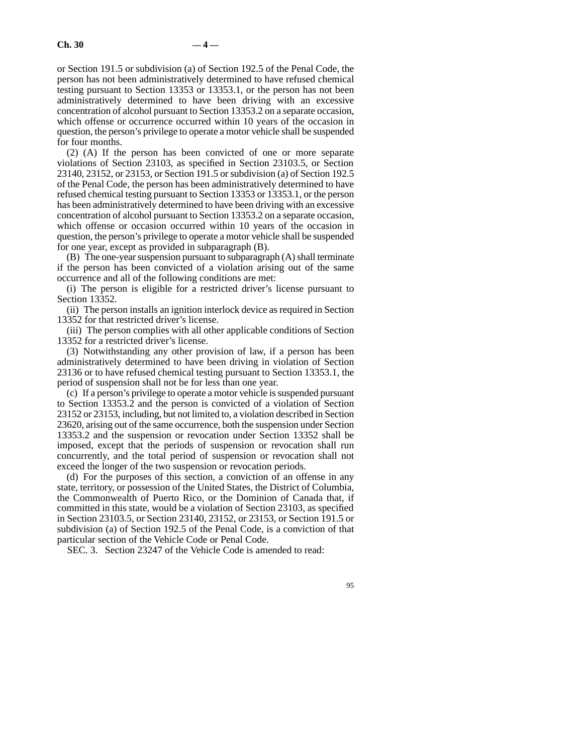or Section 191.5 or subdivision (a) of Section 192.5 of the Penal Code, the person has not been administratively determined to have refused chemical testing pursuant to Section 13353 or 13353.1, or the person has not been administratively determined to have been driving with an excessive concentration of alcohol pursuant to Section 13353.2 on a separate occasion, which offense or occurrence occurred within 10 years of the occasion in question, the person's privilege to operate a motor vehicle shall be suspended for four months.

(2) (A) If the person has been convicted of one or more separate violations of Section 23103, as specified in Section 23103.5, or Section 23140, 23152, or 23153, or Section 191.5 or subdivision (a) of Section 192.5 of the Penal Code, the person has been administratively determined to have refused chemical testing pursuant to Section 13353 or 13353.1, or the person has been administratively determined to have been driving with an excessive concentration of alcohol pursuant to Section 13353.2 on a separate occasion, which offense or occasion occurred within 10 years of the occasion in question, the person's privilege to operate a motor vehicle shall be suspended for one year, except as provided in subparagraph (B).

(B) The one-year suspension pursuant to subparagraph (A) shall terminate if the person has been convicted of a violation arising out of the same occurrence and all of the following conditions are met:

(i) The person is eligible for a restricted driver's license pursuant to Section 13352.

(ii) The person installs an ignition interlock device as required in Section 13352 for that restricted driver's license.

(iii) The person complies with all other applicable conditions of Section 13352 for a restricted driver's license.

(3) Notwithstanding any other provision of law, if a person has been administratively determined to have been driving in violation of Section 23136 or to have refused chemical testing pursuant to Section 13353.1, the period of suspension shall not be for less than one year.

(c) If a person's privilege to operate a motor vehicle is suspended pursuant to Section 13353.2 and the person is convicted of a violation of Section 23152 or 23153, including, but not limited to, a violation described in Section 23620, arising out of the same occurrence, both the suspension under Section 13353.2 and the suspension or revocation under Section 13352 shall be imposed, except that the periods of suspension or revocation shall run concurrently, and the total period of suspension or revocation shall not exceed the longer of the two suspension or revocation periods.

(d) For the purposes of this section, a conviction of an offense in any state, territory, or possession of the United States, the District of Columbia, the Commonwealth of Puerto Rico, or the Dominion of Canada that, if committed in this state, would be a violation of Section 23103, as specified in Section 23103.5, or Section 23140, 23152, or 23153, or Section 191.5 or subdivision (a) of Section 192.5 of the Penal Code, is a conviction of that particular section of the Vehicle Code or Penal Code.

SEC. 3. Section 23247 of the Vehicle Code is amended to read: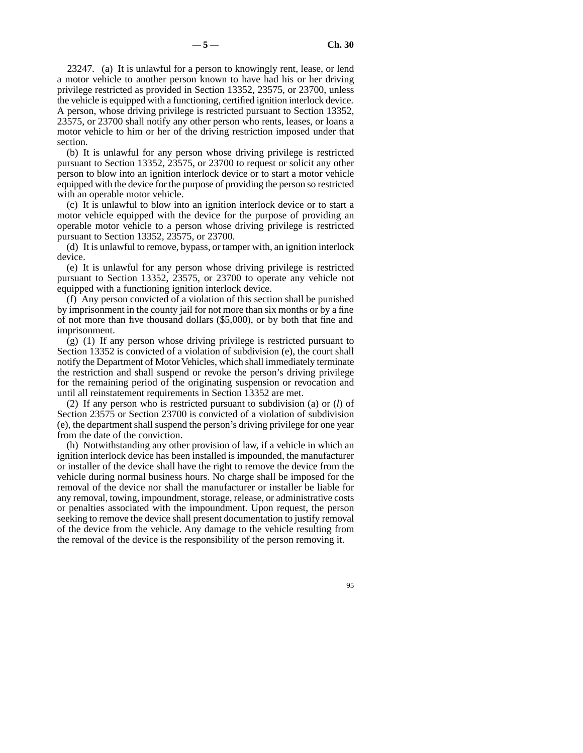23247. (a) It is unlawful for a person to knowingly rent, lease, or lend a motor vehicle to another person known to have had his or her driving privilege restricted as provided in Section 13352, 23575, or 23700, unless the vehicle is equipped with a functioning, certified ignition interlock device. A person, whose driving privilege is restricted pursuant to Section 13352, 23575, or 23700 shall notify any other person who rents, leases, or loans a motor vehicle to him or her of the driving restriction imposed under that section.

(b) It is unlawful for any person whose driving privilege is restricted pursuant to Section 13352, 23575, or 23700 to request or solicit any other person to blow into an ignition interlock device or to start a motor vehicle equipped with the device for the purpose of providing the person so restricted with an operable motor vehicle.

(c) It is unlawful to blow into an ignition interlock device or to start a motor vehicle equipped with the device for the purpose of providing an operable motor vehicle to a person whose driving privilege is restricted pursuant to Section 13352, 23575, or 23700.

(d) It is unlawful to remove, bypass, or tamper with, an ignition interlock device.

(e) It is unlawful for any person whose driving privilege is restricted pursuant to Section 13352, 23575, or 23700 to operate any vehicle not equipped with a functioning ignition interlock device.

(f) Any person convicted of a violation of this section shall be punished by imprisonment in the county jail for not more than six months or by a fine of not more than five thousand dollars (\$5,000), or by both that fine and imprisonment.

(g) (1) If any person whose driving privilege is restricted pursuant to Section 13352 is convicted of a violation of subdivision (e), the court shall notify the Department of Motor Vehicles, which shall immediately terminate the restriction and shall suspend or revoke the person's driving privilege for the remaining period of the originating suspension or revocation and until all reinstatement requirements in Section 13352 are met.

(2) If any person who is restricted pursuant to subdivision (a) or (*l*) of Section 23575 or Section 23700 is convicted of a violation of subdivision (e), the department shall suspend the person's driving privilege for one year from the date of the conviction.

(h) Notwithstanding any other provision of law, if a vehicle in which an ignition interlock device has been installed is impounded, the manufacturer or installer of the device shall have the right to remove the device from the vehicle during normal business hours. No charge shall be imposed for the removal of the device nor shall the manufacturer or installer be liable for any removal, towing, impoundment, storage, release, or administrative costs or penalties associated with the impoundment. Upon request, the person seeking to remove the device shall present documentation to justify removal of the device from the vehicle. Any damage to the vehicle resulting from the removal of the device is the responsibility of the person removing it.